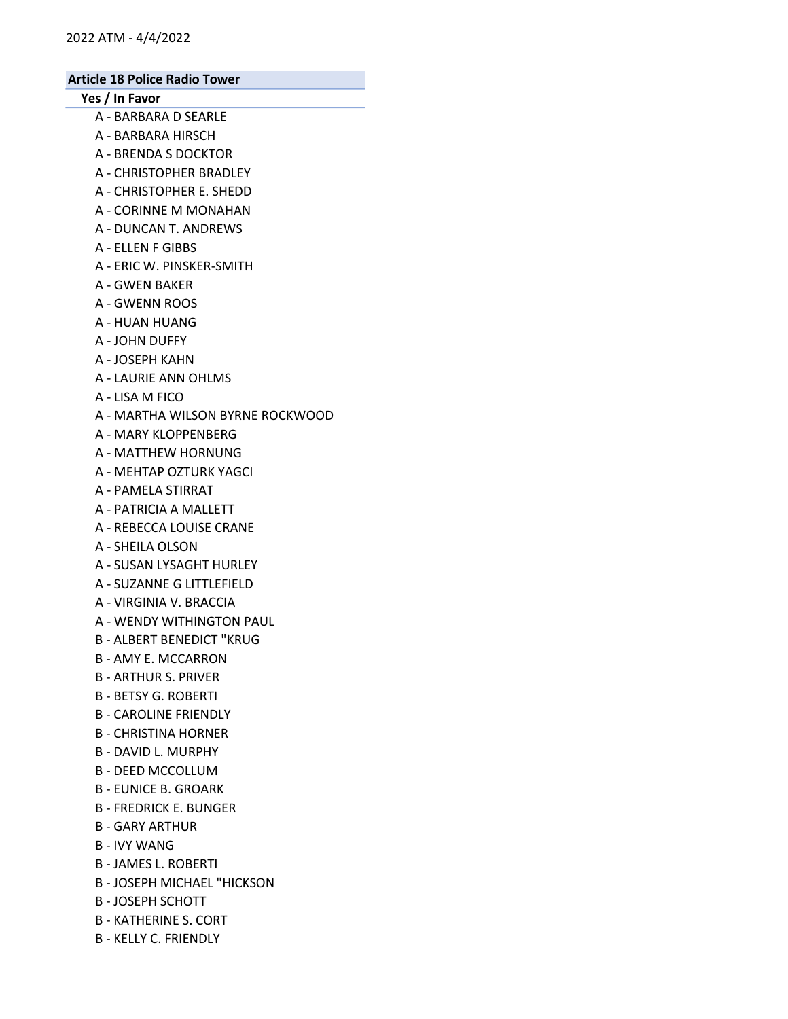# Yes / In Favor

- A BARBARA D SEARLE
- A BARBARA HIRSCH
- A BRENDA S DOCKTOR
- A CHRISTOPHER BRADLEY
- A CHRISTOPHER E. SHEDD
- A CORINNE M MONAHAN
- A DUNCAN T. ANDREWS
- A ELLEN F GIBBS
- A ERIC W. PINSKER-SMITH
- A GWEN BAKER
- A GWENN ROOS
- A HUAN HUANG
- A JOHN DUFFY
- A JOSEPH KAHN
- A LAURIE ANN OHLMS
- A LISA M FICO
- A MARTHA WILSON BYRNE ROCKWOOD
- A MARY KLOPPENBERG
- A MATTHEW HORNUNG
- A MEHTAP OZTURK YAGCI
- A PAMELA STIRRAT
- A PATRICIA A MALLETT
- A REBECCA LOUISE CRANE
- A SHEILA OLSON
- A SUSAN LYSAGHT HURLEY
- A SUZANNE G LITTLEFIELD
- A VIRGINIA V. BRACCIA
- A WENDY WITHINGTON PAUL
- B ALBERT BENEDICT "KRUG
- B AMY E. MCCARRON
- B ARTHUR S. PRIVER
- B BETSY G. ROBERTI
- B CAROLINE FRIENDLY
- B CHRISTINA HORNER
- B DAVID L. MURPHY
- B DEED MCCOLLUM
- B EUNICE B. GROARK
- B FREDRICK E. BUNGER
- B GARY ARTHUR
- B IVY WANG
- B JAMES L. ROBERTI
- B JOSEPH MICHAEL "HICKSON
- B JOSEPH SCHOTT
- B KATHERINE S. CORT
- B KELLY C. FRIENDLY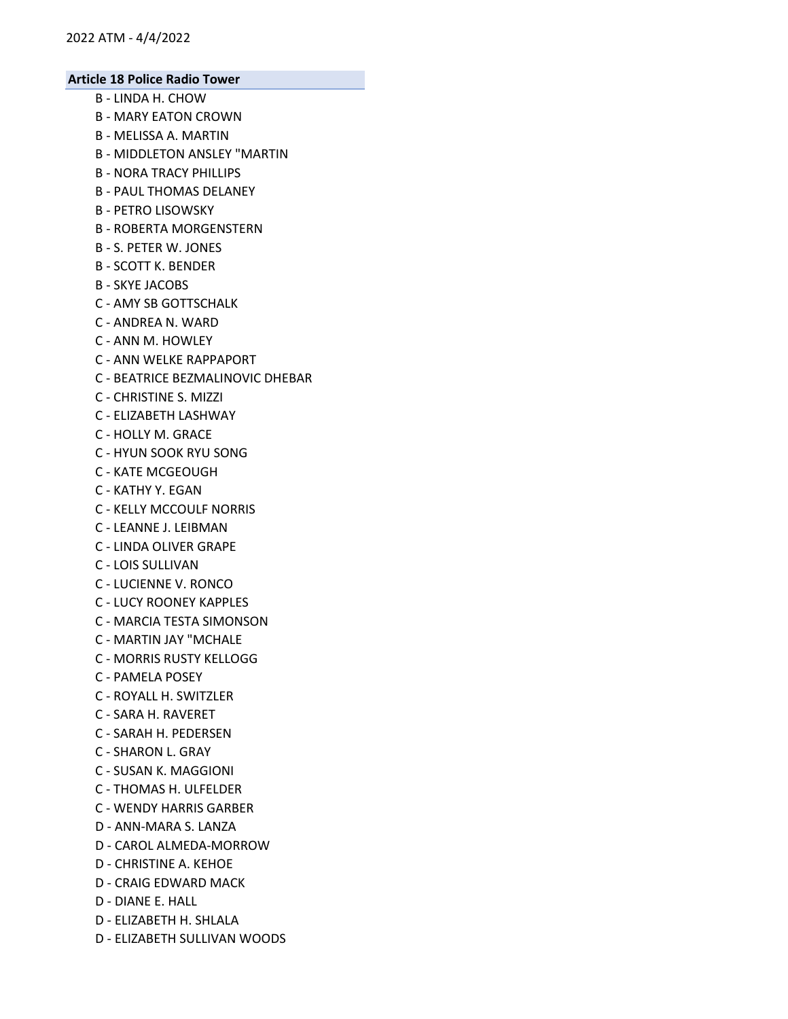- B LINDA H. CHOW
- B MARY EATON CROWN
- B MELISSA A. MARTIN
- B MIDDLETON ANSLEY "MARTIN
- B NORA TRACY PHILLIPS
- B PAUL THOMAS DELANEY
- B PETRO LISOWSKY
- B ROBERTA MORGENSTERN
- B S. PETER W. JONES
- B SCOTT K. BENDER
- B SKYE JACOBS
- C AMY SB GOTTSCHALK
- C ANDREA N. WARD
- C ANN M. HOWLEY
- C ANN WELKE RAPPAPORT
- C BEATRICE BEZMALINOVIC DHEBAR
- C CHRISTINE S. MIZZI
- C ELIZABETH LASHWAY
- C HOLLY M. GRACE
- C HYUN SOOK RYU SONG
- C KATE MCGEOUGH
- C KATHY Y. EGAN
- C KELLY MCCOULF NORRIS
- C LEANNE J. LEIBMAN
- C LINDA OLIVER GRAPE
- C LOIS SULLIVAN
- C LUCIENNE V. RONCO
- C LUCY ROONEY KAPPLES
- C MARCIA TESTA SIMONSON
- C MARTIN JAY "MCHALE
- C MORRIS RUSTY KELLOGG
- C PAMELA POSEY
- C ROYALL H. SWITZLER
- C SARA H. RAVERET
- C SARAH H. PEDERSEN
- C SHARON L. GRAY
- C SUSAN K. MAGGIONI
- C THOMAS H. ULFELDER
- C WENDY HARRIS GARBER
- D ANN-MARA S. LANZA
- D CAROL ALMEDA-MORROW
- D CHRISTINE A. KEHOE
- D CRAIG EDWARD MACK
- D DIANE E. HALL
- D ELIZABETH H. SHLALA
- D ELIZABETH SULLIVAN WOODS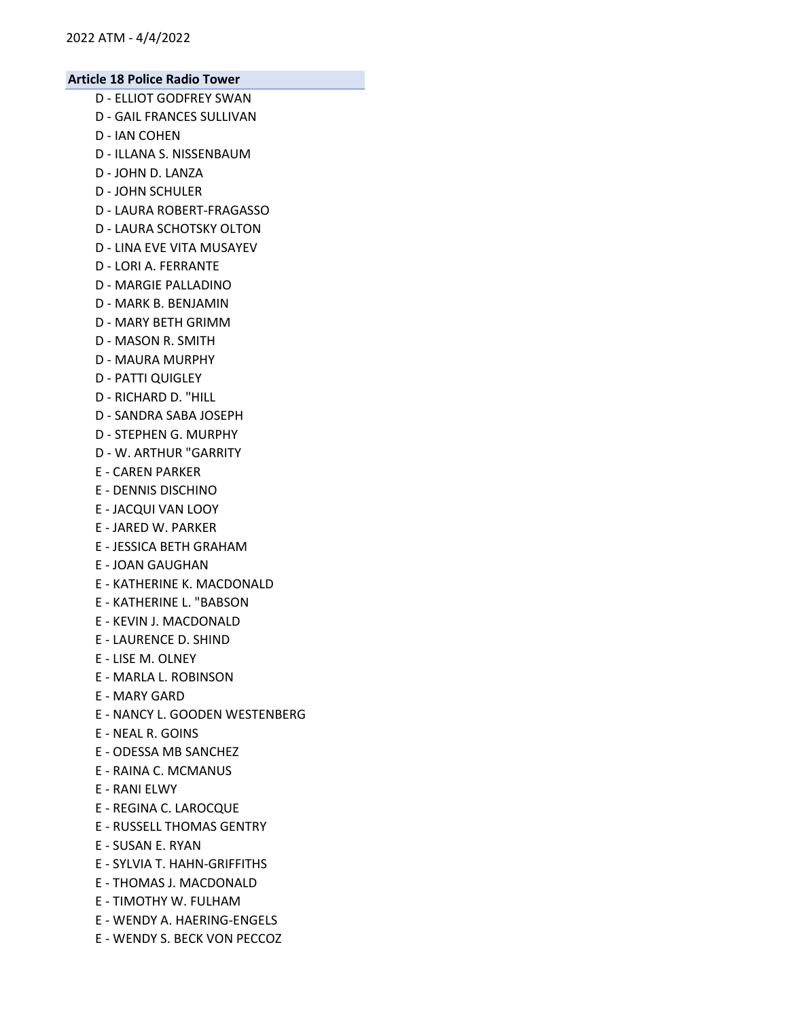- D ELLIOT GODFREY SWAN
- D GAIL FRANCES SULLIVAN
- D IAN COHEN
- D ILLANA S. NISSENBAUM
- D JOHN D. LANZA
- D JOHN SCHULER
- D LAURA ROBERT-FRAGASSO
- D LAURA SCHOTSKY OLTON
- D LINA EVE VITA MUSAYEV
- D LORI A. FERRANTE
- D MARGIE PALLADINO
- D MARK B. BENJAMIN
- D MARY BETH GRIMM
- D MASON R. SMITH
- D MAURA MURPHY
- D PATTI QUIGLEY
- D RICHARD D. "HILL
- D SANDRA SABA JOSEPH
- D STEPHEN G. MURPHY
- D W. ARTHUR "GARRITY
- E CAREN PARKER
- E DENNIS DISCHINO
- E JACQUI VAN LOOY
- E JARED W. PARKER
- E JESSICA BETH GRAHAM
- E JOAN GAUGHAN
- E KATHERINE K. MACDONALD
- E KATHERINE L. "BABSON
- E KEVIN J. MACDONALD
- E LAURENCE D. SHIND
- E LISE M. OLNEY
- E MARLA L. ROBINSON
- E MARY GARD
- E NANCY L. GOODEN WESTENBERG
- E NEAL R. GOINS
- E ODESSA MB SANCHEZ
- E RAINA C. MCMANUS
- E RANI ELWY
- E REGINA C. LAROCQUE
- E RUSSELL THOMAS GENTRY
- E SUSAN E. RYAN
- E SYLVIA T. HAHN-GRIFFITHS
- E THOMAS J. MACDONALD
- E TIMOTHY W. FULHAM
- E WENDY A. HAERING-ENGELS
- E WENDY S. BECK VON PECCOZ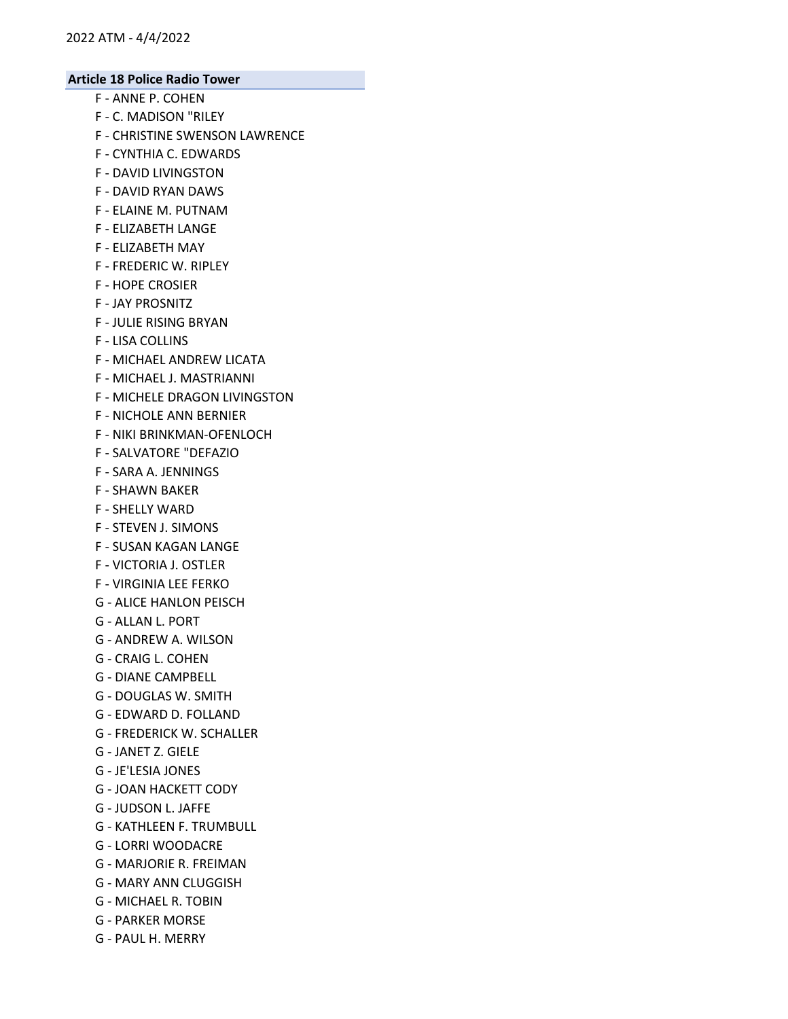- F ANNE P. COHEN
- F C. MADISON "RILEY
- F CHRISTINE SWENSON LAWRENCE
- F CYNTHIA C. EDWARDS
- F DAVID LIVINGSTON
- F DAVID RYAN DAWS
- F ELAINE M. PUTNAM
- F ELIZABETH LANGE
- F ELIZABETH MAY
- F FREDERIC W. RIPLEY
- F HOPE CROSIER
- F JAY PROSNITZ
- F JULIE RISING BRYAN
- F LISA COLLINS
- F MICHAEL ANDREW LICATA
- F MICHAEL J. MASTRIANNI
- F MICHELE DRAGON LIVINGSTON
- F NICHOLE ANN BERNIER
- F NIKI BRINKMAN-OFENLOCH
- F SALVATORE "DEFAZIO
- F SARA A. JENNINGS
- F SHAWN BAKER
- F SHELLY WARD
- F STEVEN J. SIMONS
- F SUSAN KAGAN LANGE
- F VICTORIA J. OSTLER
- F VIRGINIA LEE FERKO
- G ALICE HANLON PEISCH
- G ALLAN L. PORT
- G ANDREW A. WILSON
- G CRAIG L. COHEN
- G DIANE CAMPBELL
- G DOUGLAS W. SMITH
- G EDWARD D. FOLLAND
- G FREDERICK W. SCHALLER
- G JANET Z. GIELE
- G JE'LESIA JONES
- G JOAN HACKETT CODY
- G JUDSON L. JAFFE
- G KATHLEEN F. TRUMBULL
- G LORRI WOODACRE
- G MARJORIE R. FREIMAN
- G MARY ANN CLUGGISH
- G MICHAEL R. TOBIN
- G PARKER MORSE
- G PAUL H. MERRY